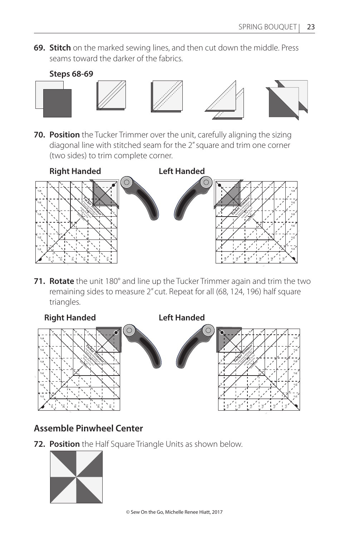**69. Stitch** on the marked sewing lines, and then cut down the middle. Press seams toward the darker of the fabrics.



**70. Position** the Tucker Trimmer over the unit, carefully aligning the sizing diagonal line with stitched seam for the 2" square and trim one corner (two sides) to trim complete corner.



**71. Rotate** the unit 180° and line up the Tucker Trimmer again and trim the two remaining sides to measure 2" cut. Repeat for all (68, 124, 196) half square triangles.



## **Assemble Pinwheel Center**

**72. Position** the Half Square Triangle Units as shown below.